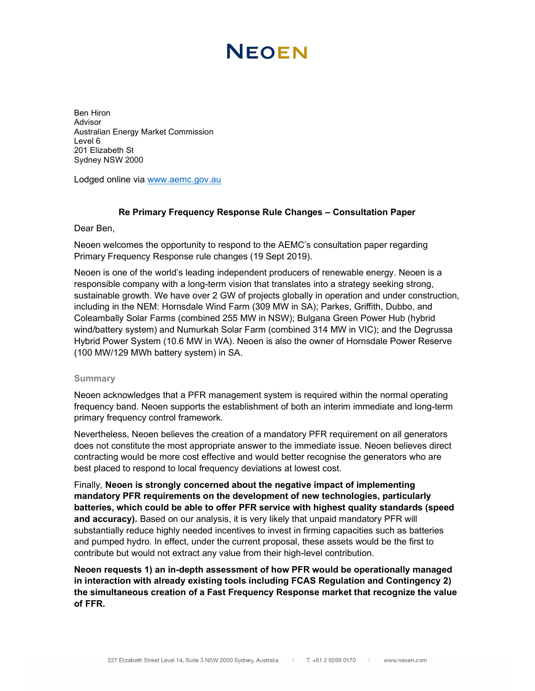# **NEOEN**

Ben Hiron Advisor Australian Energy Market Commission Level 6 201 Elizabeth St Sydney NSW 2000

Lodged online via www.aemc.gov.au

## Re Primary Frequency Response Rule Changes – Consultation Paper

Dear Ben,

Neoen welcomes the opportunity to respond to the AEMC's consultation paper regarding Primary Frequency Response rule changes (19 Sept 2019).

Neoen is one of the world's leading independent producers of renewable energy. Neoen is a responsible company with a long-term vision that translates into a strategy seeking strong, sustainable growth. We have over 2 GW of projects globally in operation and under construction, including in the NEM: Hornsdale Wind Farm (309 MW in SA); Parkes, Griffith, Dubbo, and Coleambally Solar Farms (combined 255 MW in NSW); Bulgana Green Power Hub (hybrid wind/battery system) and Numurkah Solar Farm (combined 314 MW in VIC); and the Degrussa Hybrid Power System (10.6 MW in WA). Neoen is also the owner of Hornsdale Power Reserve (100 MW/129 MWh battery system) in SA.

#### Summary

Neoen acknowledges that a PFR management system is required within the normal operating frequency band. Neoen supports the establishment of both an interim immediate and long-term primary frequency control framework.

Nevertheless, Neoen believes the creation of a mandatory PFR requirement on all generators does not constitute the most appropriate answer to the immediate issue. Neoen believes direct contracting would be more cost effective and would better recognise the generators who are best placed to respond to local frequency deviations at lowest cost.

Finally, Neoen is strongly concerned about the negative impact of implementing mandatory PFR requirements on the development of new technologies, particularly batteries, which could be able to offer PFR service with highest quality standards (speed and accuracy). Based on our analysis, it is very likely that unpaid mandatory PFR will substantially reduce highly needed incentives to invest in firming capacities such as batteries and pumped hydro. In effect, under the current proposal, these assets would be the first to contribute but would not extract any value from their high-level contribution.

Neoen requests 1) an in-depth assessment of how PFR would be operationally managed in interaction with already existing tools including FCAS Regulation and Contingency 2) the simultaneous creation of a Fast Frequency Response market that recognize the value of FFR.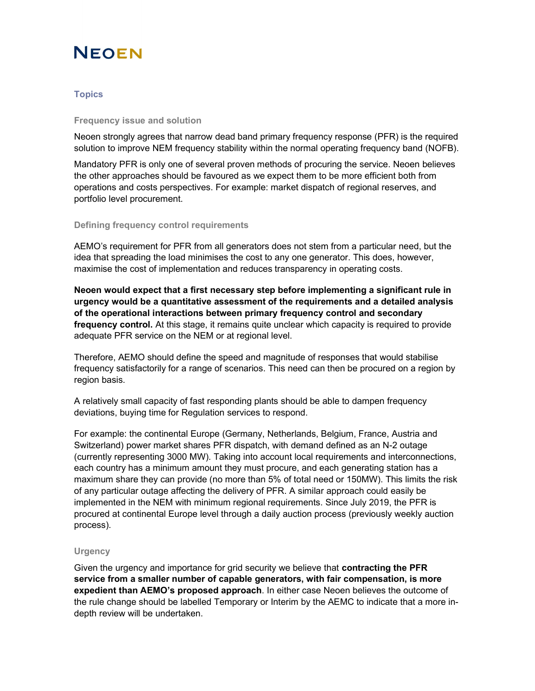

### **Topics**

#### Frequency issue and solution

Neoen strongly agrees that narrow dead band primary frequency response (PFR) is the required solution to improve NEM frequency stability within the normal operating frequency band (NOFB).

Mandatory PFR is only one of several proven methods of procuring the service. Neoen believes the other approaches should be favoured as we expect them to be more efficient both from operations and costs perspectives. For example: market dispatch of regional reserves, and portfolio level procurement.

#### Defining frequency control requirements

AEMO's requirement for PFR from all generators does not stem from a particular need, but the idea that spreading the load minimises the cost to any one generator. This does, however, maximise the cost of implementation and reduces transparency in operating costs.

Neoen would expect that a first necessary step before implementing a significant rule in urgency would be a quantitative assessment of the requirements and a detailed analysis of the operational interactions between primary frequency control and secondary frequency control. At this stage, it remains quite unclear which capacity is required to provide adequate PFR service on the NEM or at regional level.

Therefore, AEMO should define the speed and magnitude of responses that would stabilise frequency satisfactorily for a range of scenarios. This need can then be procured on a region by region basis.

A relatively small capacity of fast responding plants should be able to dampen frequency deviations, buying time for Regulation services to respond.

For example: the continental Europe (Germany, Netherlands, Belgium, France, Austria and Switzerland) power market shares PFR dispatch, with demand defined as an N-2 outage (currently representing 3000 MW). Taking into account local requirements and interconnections, each country has a minimum amount they must procure, and each generating station has a maximum share they can provide (no more than 5% of total need or 150MW). This limits the risk of any particular outage affecting the delivery of PFR. A similar approach could easily be implemented in the NEM with minimum regional requirements. Since July 2019, the PFR is procured at continental Europe level through a daily auction process (previously weekly auction process).

#### **Urgency**

Given the urgency and importance for grid security we believe that **contracting the PFR** service from a smaller number of capable generators, with fair compensation, is more expedient than AEMO's proposed approach. In either case Neoen believes the outcome of the rule change should be labelled Temporary or Interim by the AEMC to indicate that a more indepth review will be undertaken.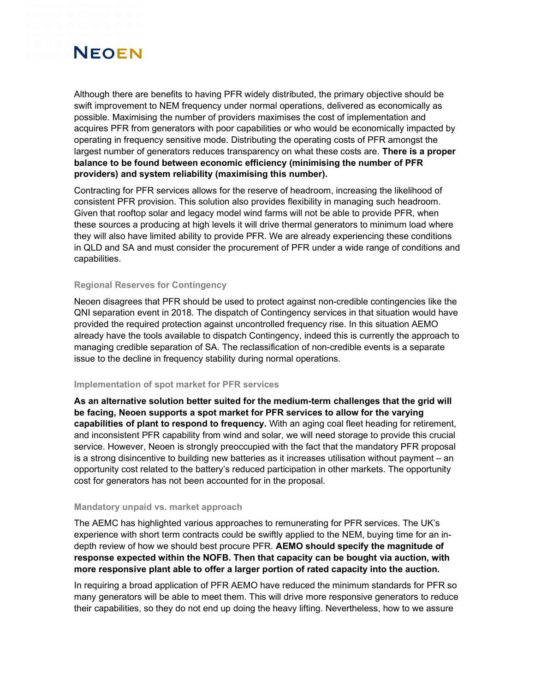

Although there are benefits to having PFR widely distributed, the primary objective should be swift improvement to NEM frequency under normal operations, delivered as economically as possible. Maximising the number of providers maximises the cost of implementation and acquires PFR from generators with poor capabilities or who would be economically impacted by operating in frequency sensitive mode. Distributing the operating costs of PFR amongst the largest number of generators reduces transparency on what these costs are. There is a proper balance to be found between economic efficiency (minimising the number of PFR providers) and system reliability (maximising this number).

Contracting for PFR services allows for the reserve of headroom, increasing the likelihood of consistent PFR provision. This solution also provides flexibility in managing such headroom. Given that rooftop solar and legacy model wind farms will not be able to provide PFR, when these sources a producing at high levels it will drive thermal generators to minimum load where they will also have limited ability to provide PFR. We are already experiencing these conditions in QLD and SA and must consider the procurement of PFR under a wide range of conditions and capabilities.

#### Regional Reserves for Contingency

Neoen disagrees that PFR should be used to protect against non-credible contingencies like the QNI separation event in 2018. The dispatch of Contingency services in that situation would have provided the required protection against uncontrolled frequency rise. In this situation AEMO already have the tools available to dispatch Contingency, indeed this is currently the approach to managing credible separation of SA. The reclassification of non-credible events is a separate issue to the decline in frequency stability during normal operations.

#### Implementation of spot market for PFR services

As an alternative solution better suited for the medium-term challenges that the grid will be facing, Neoen supports a spot market for PFR services to allow for the varying capabilities of plant to respond to frequency. With an aging coal fleet heading for retirement, and inconsistent PFR capability from wind and solar, we will need storage to provide this crucial service. However, Neoen is strongly preoccupied with the fact that the mandatory PFR proposal is a strong disincentive to building new batteries as it increases utilisation without payment – an opportunity cost related to the battery's reduced participation in other markets. The opportunity cost for generators has not been accounted for in the proposal.

#### Mandatory unpaid vs. market approach

The AEMC has highlighted various approaches to remunerating for PFR services. The UK's experience with short term contracts could be swiftly applied to the NEM, buying time for an indepth review of how we should best procure PFR. AEMO should specify the magnitude of response expected within the NOFB. Then that capacity can be bought via auction, with more responsive plant able to offer a larger portion of rated capacity into the auction.

In requiring a broad application of PFR AEMO have reduced the minimum standards for PFR so many generators will be able to meet them. This will drive more responsive generators to reduce their capabilities, so they do not end up doing the heavy lifting. Nevertheless, how to we assure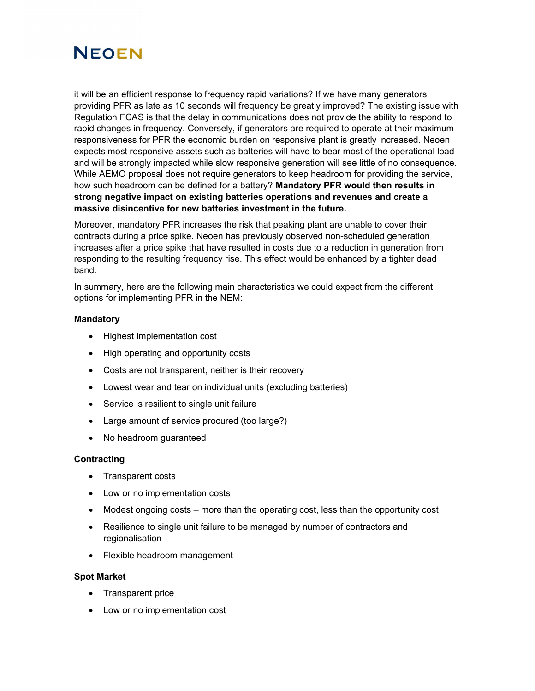## **NEOEN**

it will be an efficient response to frequency rapid variations? If we have many generators providing PFR as late as 10 seconds will frequency be greatly improved? The existing issue with Regulation FCAS is that the delay in communications does not provide the ability to respond to rapid changes in frequency. Conversely, if generators are required to operate at their maximum responsiveness for PFR the economic burden on responsive plant is greatly increased. Neoen expects most responsive assets such as batteries will have to bear most of the operational load and will be strongly impacted while slow responsive generation will see little of no consequence. While AEMO proposal does not require generators to keep headroom for providing the service, how such headroom can be defined for a battery? Mandatory PFR would then results in strong negative impact on existing batteries operations and revenues and create a massive disincentive for new batteries investment in the future.

Moreover, mandatory PFR increases the risk that peaking plant are unable to cover their contracts during a price spike. Neoen has previously observed non-scheduled generation increases after a price spike that have resulted in costs due to a reduction in generation from responding to the resulting frequency rise. This effect would be enhanced by a tighter dead band.

In summary, here are the following main characteristics we could expect from the different options for implementing PFR in the NEM:

## Mandatory

- Highest implementation cost
- High operating and opportunity costs
- Costs are not transparent, neither is their recovery
- Lowest wear and tear on individual units (excluding batteries)
- Service is resilient to single unit failure
- Large amount of service procured (too large?)
- No headroom guaranteed

## **Contracting**

- Transparent costs
- Low or no implementation costs
- Modest ongoing costs more than the operating cost, less than the opportunity cost
- Resilience to single unit failure to be managed by number of contractors and regionalisation
- Flexible headroom management

## Spot Market

- Transparent price
- Low or no implementation cost